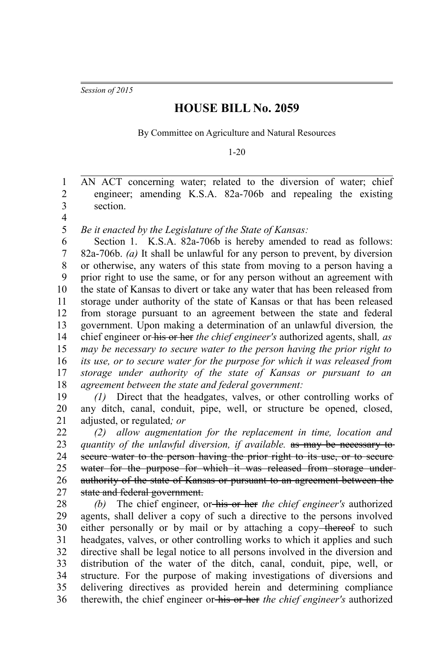*Session of 2015*

## **HOUSE BILL No. 2059**

By Committee on Agriculture and Natural Resources

1-20

AN ACT concerning water; related to the diversion of water; chief engineer; amending K.S.A. 82a-706b and repealing the existing section. 1 2 3

4

*Be it enacted by the Legislature of the State of Kansas:* 5

Section 1. K.S.A. 82a-706b is hereby amended to read as follows: 82a-706b. *(a)* It shall be unlawful for any person to prevent, by diversion or otherwise, any waters of this state from moving to a person having a prior right to use the same, or for any person without an agreement with the state of Kansas to divert or take any water that has been released from storage under authority of the state of Kansas or that has been released from storage pursuant to an agreement between the state and federal government. Upon making a determination of an unlawful diversion*,* the chief engineer or his or her *the chief engineer's* authorized agents, shall*, as may be necessary to secure water to the person having the prior right to its use, or to secure water for the purpose for which it was released from storage under authority of the state of Kansas or pursuant to an agreement between the state and federal government:* 6 7 8 9 10 11 12 13 14 15 16 17 18

*(1)* Direct that the headgates, valves, or other controlling works of any ditch, canal, conduit, pipe, well, or structure be opened, closed, adjusted, or regulated*; or*  19 20 21

*(2) allow augmentation for the replacement in time, location and quantity of the unlawful diversion, if available.* as may be necessary to secure water to the person having the prior right to its use, or to secure water for the purpose for which it was released from storage underauthority of the state of Kansas or pursuant to an agreement between the state and federal government. 22 23 24 25 26 27

*(b)* The chief engineer, or his or her *the chief engineer's* authorized agents, shall deliver a copy of such a directive to the persons involved either personally or by mail or by attaching a copy-thereof to such headgates, valves, or other controlling works to which it applies and such directive shall be legal notice to all persons involved in the diversion and distribution of the water of the ditch, canal, conduit, pipe, well, or structure. For the purpose of making investigations of diversions and delivering directives as provided herein and determining compliance therewith, the chief engineer or his or her *the chief engineer's* authorized 28 29 30 31 32 33 34 35 36